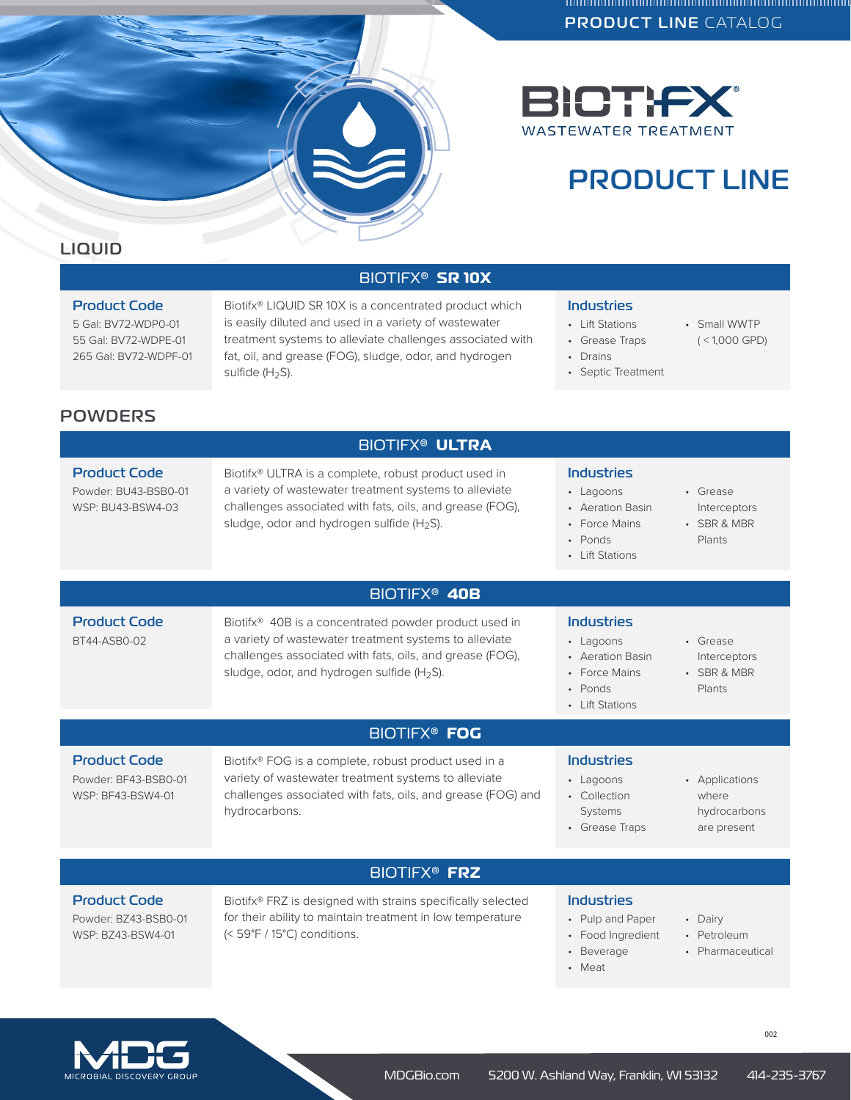



# PRODUCT LINE

## BIOTIFX® **SR 10X**

### Product Code

5 Gal: BV72-WDP0-01 55 Gal: BV72-WDPE-01 265 Gal: BV72-WDPF-01 Biotifx® LIQUID SR 10X is a concentrated product which is easily diluted and used in a variety of wastewater treatment systems to alleviate challenges associated with fat, oil, and grease (FOG), sludge, odor, and hydrogen sulfide (H<sub>2</sub>S).

#### Industries

• Lift Stations

• Drains

• Grease Traps

• Septic Treatment

• Small WWTP ( < 1,000 GPD)

# **POWDERS**

|                                                                  | <b>BIOTIFX<sup>®</sup> ULTRA</b>                                                                                                                                                                                                                  |                                                                                                   |                                                        |
|------------------------------------------------------------------|---------------------------------------------------------------------------------------------------------------------------------------------------------------------------------------------------------------------------------------------------|---------------------------------------------------------------------------------------------------|--------------------------------------------------------|
| <b>Product Code</b><br>Powder: BU43-BSB0-01<br>WSP: BU43-BSW4-03 | Biotifx® ULTRA is a complete, robust product used in<br>a variety of wastewater treatment systems to alleviate<br>challenges associated with fats, oils, and grease (FOG),<br>sludge, odor and hydrogen sulfide (H <sub>2</sub> S).               | Industries<br>• Lagoons<br>• Aeration Basin<br>• Force Mains<br>• Ponds<br>• Lift Stations        | • Grease<br>Interceptors<br>• SBR & MBR<br>Plants      |
|                                                                  | BIOTIFX <sup>®</sup> 40B                                                                                                                                                                                                                          |                                                                                                   |                                                        |
| <b>Product Code</b><br>BT44-ASB0-02                              | Biotifx <sup>®</sup> 40B is a concentrated powder product used in<br>a variety of wastewater treatment systems to alleviate<br>challenges associated with fats, oils, and grease (FOG),<br>sludge, odor, and hydrogen sulfide (H <sub>2</sub> S). | <b>Industries</b><br>• Lagoons<br>• Aeration Basin<br>• Force Mains<br>• Ponds<br>• Lift Stations | • Grease<br>Interceptors<br>· SBR & MBR<br>Plants      |
|                                                                  | <b>BIOTIFX<sup>®</sup> FOG</b>                                                                                                                                                                                                                    |                                                                                                   |                                                        |
| <b>Product Code</b><br>Powder: BF43-BSB0-01<br>WSP: BF43-BSW4-01 | Biotifx® FOG is a complete, robust product used in a<br>variety of wastewater treatment systems to alleviate<br>challenges associated with fats, oils, and grease (FOG) and<br>hydrocarbons.                                                      | <b>Industries</b><br>• Lagoons<br>• Collection<br>Systems<br>• Grease Traps                       | • Applications<br>where<br>hydrocarbons<br>are present |
|                                                                  | <b>BIOTIFX<sup>®</sup> FRZ</b>                                                                                                                                                                                                                    |                                                                                                   |                                                        |
| <b>Product Code</b><br>Powder: BZ43-BSB0-01<br>WSP: BZ43-BSW4-01 | Biotifx <sup>®</sup> FRZ is designed with strains specifically selected<br>for their ability to maintain treatment in low temperature<br>(< 59°F / 15°C) conditions.                                                                              | <b>Industries</b><br>• Pulp and Paper<br>• Food Ingredient                                        | • Dairy<br>• Petroleum                                 |

• Pharmaceutical

MICROBIAL DISCOVERY GROUP

• Beverage • Meat

002